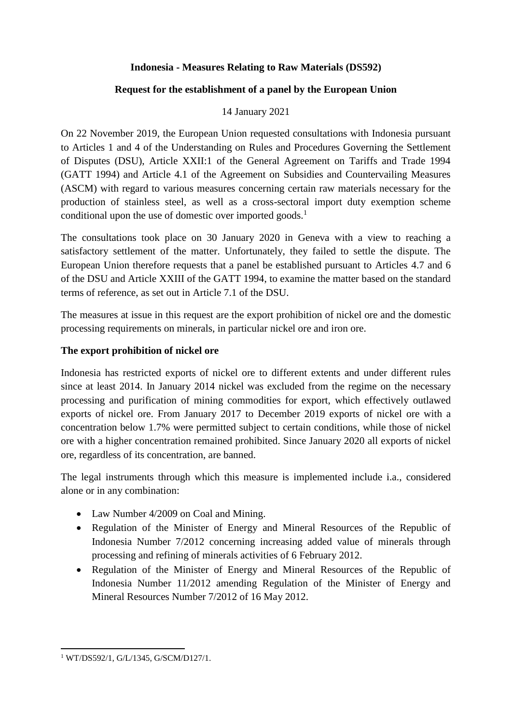## **Indonesia - Measures Relating to Raw Materials (DS592)**

#### **Request for the establishment of a panel by the European Union**

## 14 January 2021

On 22 November 2019, the European Union requested consultations with Indonesia pursuant to Articles 1 and 4 of the Understanding on Rules and Procedures Governing the Settlement of Disputes (DSU), Article XXII:1 of the General Agreement on Tariffs and Trade 1994 (GATT 1994) and Article 4.1 of the Agreement on Subsidies and Countervailing Measures (ASCM) with regard to various measures concerning certain raw materials necessary for the production of stainless steel, as well as a cross-sectoral import duty exemption scheme conditional upon the use of domestic over imported goods.<sup>1</sup>

The consultations took place on 30 January 2020 in Geneva with a view to reaching a satisfactory settlement of the matter. Unfortunately, they failed to settle the dispute. The European Union therefore requests that a panel be established pursuant to Articles 4.7 and 6 of the DSU and Article XXIII of the GATT 1994, to examine the matter based on the standard terms of reference, as set out in Article 7.1 of the DSU.

The measures at issue in this request are the export prohibition of nickel ore and the domestic processing requirements on minerals, in particular nickel ore and iron ore.

#### **The export prohibition of nickel ore**

Indonesia has restricted exports of nickel ore to different extents and under different rules since at least 2014. In January 2014 nickel was excluded from the regime on the necessary processing and purification of mining commodities for export, which effectively outlawed exports of nickel ore. From January 2017 to December 2019 exports of nickel ore with a concentration below 1.7% were permitted subject to certain conditions, while those of nickel ore with a higher concentration remained prohibited. Since January 2020 all exports of nickel ore, regardless of its concentration, are banned.

The legal instruments through which this measure is implemented include i.a., considered alone or in any combination:

- Law Number 4/2009 on Coal and Mining.
- Regulation of the Minister of Energy and Mineral Resources of the Republic of Indonesia Number 7/2012 concerning increasing added value of minerals through processing and refining of minerals activities of 6 February 2012.
- Regulation of the Minister of Energy and Mineral Resources of the Republic of Indonesia Number 11/2012 amending Regulation of the Minister of Energy and Mineral Resources Number 7/2012 of 16 May 2012.

<sup>1</sup> <sup>1</sup> WT/DS592/1, G/L/1345, G/SCM/D127/1.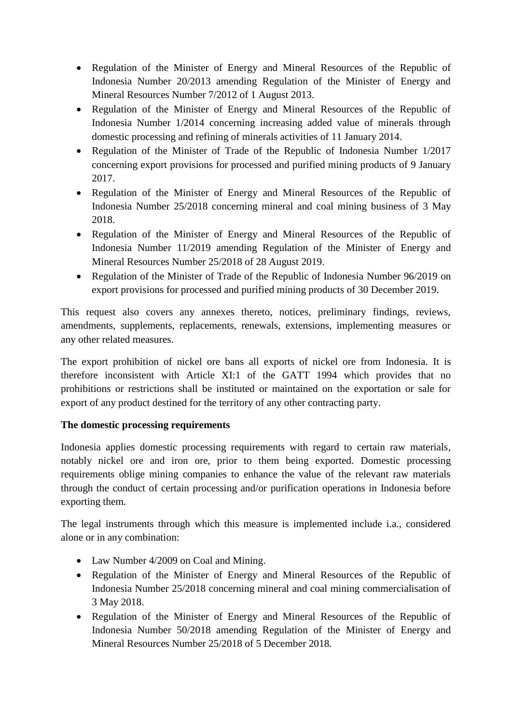- Regulation of the Minister of Energy and Mineral Resources of the Republic of Indonesia Number 20/2013 amending Regulation of the Minister of Energy and Mineral Resources Number 7/2012 of 1 August 2013.
- Regulation of the Minister of Energy and Mineral Resources of the Republic of Indonesia Number 1/2014 concerning increasing added value of minerals through domestic processing and refining of minerals activities of 11 January 2014.
- Regulation of the Minister of Trade of the Republic of Indonesia Number 1/2017 concerning export provisions for processed and purified mining products of 9 January 2017.
- Regulation of the Minister of Energy and Mineral Resources of the Republic of Indonesia Number 25/2018 concerning mineral and coal mining business of 3 May 2018.
- Regulation of the Minister of Energy and Mineral Resources of the Republic of Indonesia Number 11/2019 amending Regulation of the Minister of Energy and Mineral Resources Number 25/2018 of 28 August 2019.
- Regulation of the Minister of Trade of the Republic of Indonesia Number 96/2019 on export provisions for processed and purified mining products of 30 December 2019.

This request also covers any annexes thereto, notices, preliminary findings, reviews, amendments, supplements, replacements, renewals, extensions, implementing measures or any other related measures.

The export prohibition of nickel ore bans all exports of nickel ore from Indonesia. It is therefore inconsistent with Article XI:1 of the GATT 1994 which provides that no prohibitions or restrictions shall be instituted or maintained on the exportation or sale for export of any product destined for the territory of any other contracting party.

# **The domestic processing requirements**

Indonesia applies domestic processing requirements with regard to certain raw materials, notably nickel ore and iron ore, prior to them being exported. Domestic processing requirements oblige mining companies to enhance the value of the relevant raw materials through the conduct of certain processing and/or purification operations in Indonesia before exporting them.

The legal instruments through which this measure is implemented include i.a., considered alone or in any combination:

- Law Number 4/2009 on Coal and Mining.
- Regulation of the Minister of Energy and Mineral Resources of the Republic of Indonesia Number 25/2018 concerning mineral and coal mining commercialisation of 3 May 2018.
- Regulation of the Minister of Energy and Mineral Resources of the Republic of Indonesia Number 50/2018 amending Regulation of the Minister of Energy and Mineral Resources Number 25/2018 of 5 December 2018.